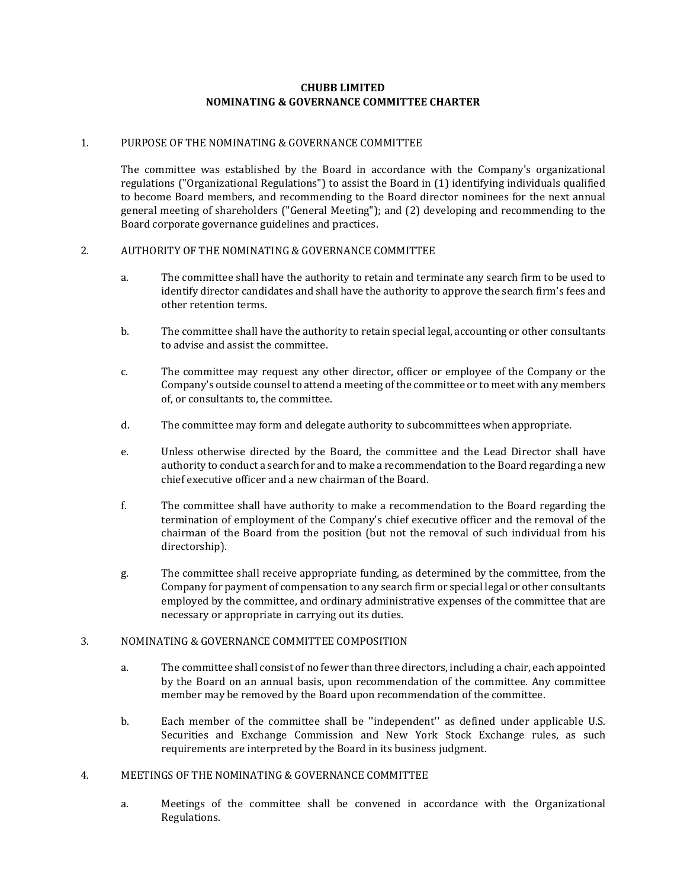## **CHUBB LIMITED NOMINATING & GOVERNANCE COMMITTEE CHARTER**

## 1. PURPOSE OF THE NOMINATING & GOVERNANCE COMMITTEE

The committee was established by the Board in accordance with the Company's organizational regulations ("Organizational Regulations") to assist the Board in (1) identifying individuals qualified to become Board members, and recommending to the Board director nominees for the next annual general meeting of shareholders ("General Meeting"); and (2) developing and recommending to the Board corporate governance guidelines and practices.

## 2. AUTHORITY OF THE NOMINATING & GOVERNANCE COMMITTEE

- a. The committee shall have the authority to retain and terminate any search firm to be used to identify director candidates and shall have the authority to approve the search firm's fees and other retention terms.
- b. The committee shall have the authority to retain special legal, accounting or other consultants to advise and assist the committee.
- c. The committee may request any other director, officer or employee of the Company or the Company's outside counsel to attend a meeting of the committee or to meet with any members of, or consultants to, the committee.
- d. The committee may form and delegate authority to subcommittees when appropriate.
- e. Unless otherwise directed by the Board, the committee and the Lead Director shall have authority to conduct a search for and to make a recommendation to the Board regarding a new chief executive officer and a new chairman of the Board.
- f. The committee shall have authority to make a recommendation to the Board regarding the termination of employment of the Company's chief executive officer and the removal of the chairman of the Board from the position (but not the removal of such individual from his directorship).
- g. The committee shall receive appropriate funding, as determined by the committee, from the Company for payment of compensation to any search firm or special legal or other consultants employed by the committee, and ordinary administrative expenses of the committee that are necessary or appropriate in carrying out its duties.

#### 3. NOMINATING & GOVERNANCE COMMITTEE COMPOSITION

- a. The committee shall consist of no fewer than three directors, including a chair, each appointed by the Board on an annual basis, upon recommendation of the committee. Any committee member may be removed by the Board upon recommendation of the committee.
- b. Each member of the committee shall be ''independent'' as defined under applicable U.S. Securities and Exchange Commission and New York Stock Exchange rules, as such requirements are interpreted by the Board in its business judgment.

#### 4. MEETINGS OF THE NOMINATING & GOVERNANCE COMMITTEE

a. Meetings of the committee shall be convened in accordance with the Organizational Regulations.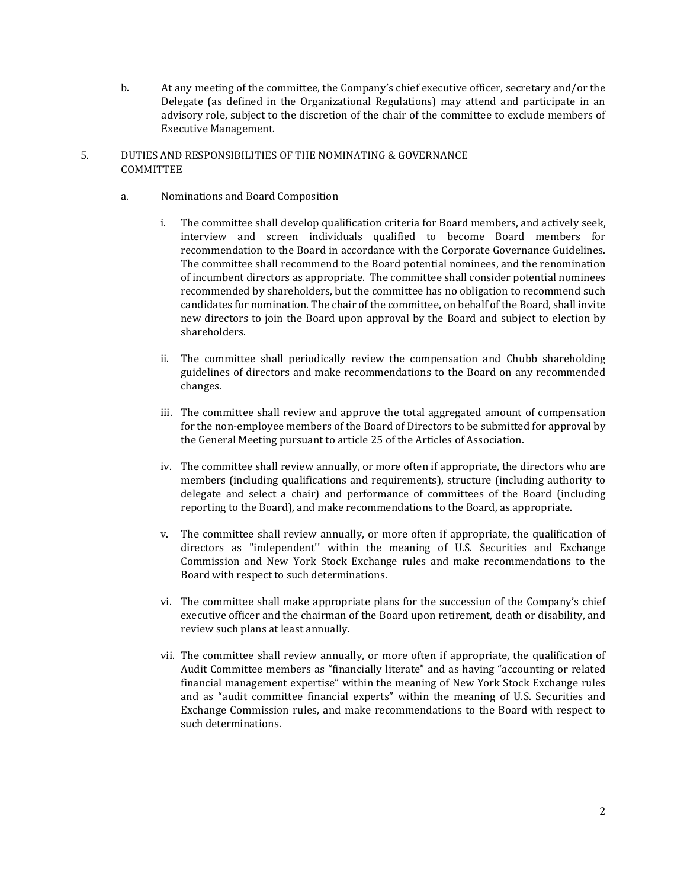b. At any meeting of the committee, the Company's chief executive officer, secretary and/or the Delegate (as defined in the Organizational Regulations) may attend and participate in an advisory role, subject to the discretion of the chair of the committee to exclude members of Executive Management.

# 5. DUTIES AND RESPONSIBILITIES OF THE NOMINATING & GOVERNANCE COMMITTEE

- a. Nominations and Board Composition
	- i. The committee shall develop qualification criteria for Board members, and actively seek, interview and screen individuals qualified to become Board members for recommendation to the Board in accordance with the Corporate Governance Guidelines. The committee shall recommend to the Board potential nominees, and the renomination of incumbent directors as appropriate. The committee shall consider potential nominees recommended by shareholders, but the committee has no obligation to recommend such candidates for nomination. The chair of the committee, on behalf of the Board, shall invite new directors to join the Board upon approval by the Board and subject to election by shareholders.
	- ii. The committee shall periodically review the compensation and Chubb shareholding guidelines of directors and make recommendations to the Board on any recommended changes.
	- iii. The committee shall review and approve the total aggregated amount of compensation for the non-employee members of the Board of Directors to be submitted for approval by the General Meeting pursuant to article 25 of the Articles of Association.
	- iv. The committee shall review annually, or more often if appropriate, the directors who are members (including qualifications and requirements), structure (including authority to delegate and select a chair) and performance of committees of the Board (including reporting to the Board), and make recommendations to the Board, as appropriate.
	- v. The committee shall review annually, or more often if appropriate, the qualification of directors as "independent'' within the meaning of U.S. Securities and Exchange Commission and New York Stock Exchange rules and make recommendations to the Board with respect to such determinations.
	- vi. The committee shall make appropriate plans for the succession of the Company's chief executive officer and the chairman of the Board upon retirement, death or disability, and review such plans at least annually.
	- vii. The committee shall review annually, or more often if appropriate, the qualification of Audit Committee members as "financially literate" and as having "accounting or related financial management expertise" within the meaning of New York Stock Exchange rules and as "audit committee financial experts" within the meaning of U.S. Securities and Exchange Commission rules, and make recommendations to the Board with respect to such determinations.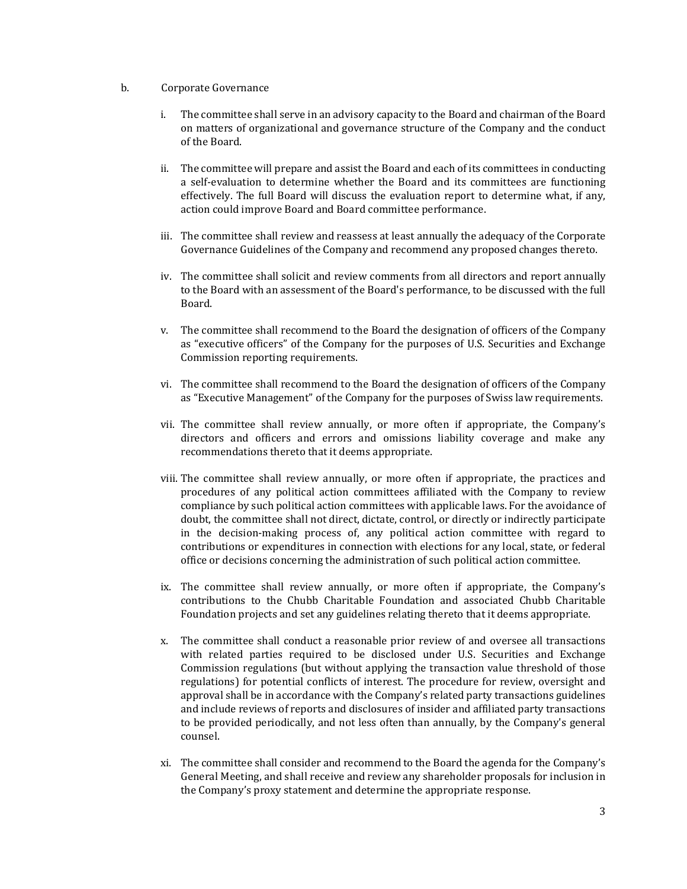- b. Corporate Governance
	- i. The committee shall serve in an advisory capacity to the Board and chairman of the Board on matters of organizational and governance structure of the Company and the conduct of the Board.
	- ii. The committee will prepare and assist the Board and each of its committees in conducting a self-evaluation to determine whether the Board and its committees are functioning effectively. The full Board will discuss the evaluation report to determine what, if any, action could improve Board and Board committee performance.
	- iii. The committee shall review and reassess at least annually the adequacy of the Corporate Governance Guidelines of the Company and recommend any proposed changes thereto.
	- iv. The committee shall solicit and review comments from all directors and report annually to the Board with an assessment of the Board's performance, to be discussed with the full Board.
	- v. The committee shall recommend to the Board the designation of officers of the Company as "executive officers" of the Company for the purposes of U.S. Securities and Exchange Commission reporting requirements.
	- vi. The committee shall recommend to the Board the designation of officers of the Company as "Executive Management" of the Company for the purposes of Swiss law requirements.
	- vii. The committee shall review annually, or more often if appropriate, the Company's directors and officers and errors and omissions liability coverage and make any recommendations thereto that it deems appropriate.
	- viii. The committee shall review annually, or more often if appropriate, the practices and procedures of any political action committees affiliated with the Company to review compliance by such political action committees with applicable laws. For the avoidance of doubt, the committee shall not direct, dictate, control, or directly or indirectly participate in the decision-making process of, any political action committee with regard to contributions or expenditures in connection with elections for any local, state, or federal office or decisions concerning the administration of such political action committee.
	- ix. The committee shall review annually, or more often if appropriate, the Company's contributions to the Chubb Charitable Foundation and associated Chubb Charitable Foundation projects and set any guidelines relating thereto that it deems appropriate.
	- x. The committee shall conduct a reasonable prior review of and oversee all transactions with related parties required to be disclosed under U.S. Securities and Exchange Commission regulations (but without applying the transaction value threshold of those regulations) for potential conflicts of interest. The procedure for review, oversight and approval shall be in accordance with the Company's related party transactions guidelines and include reviews of reports and disclosures of insider and affiliated party transactions to be provided periodically, and not less often than annually, by the Company's general counsel.
	- xi. The committee shall consider and recommend to the Board the agenda for the Company's General Meeting, and shall receive and review any shareholder proposals for inclusion in the Company's proxy statement and determine the appropriate response.